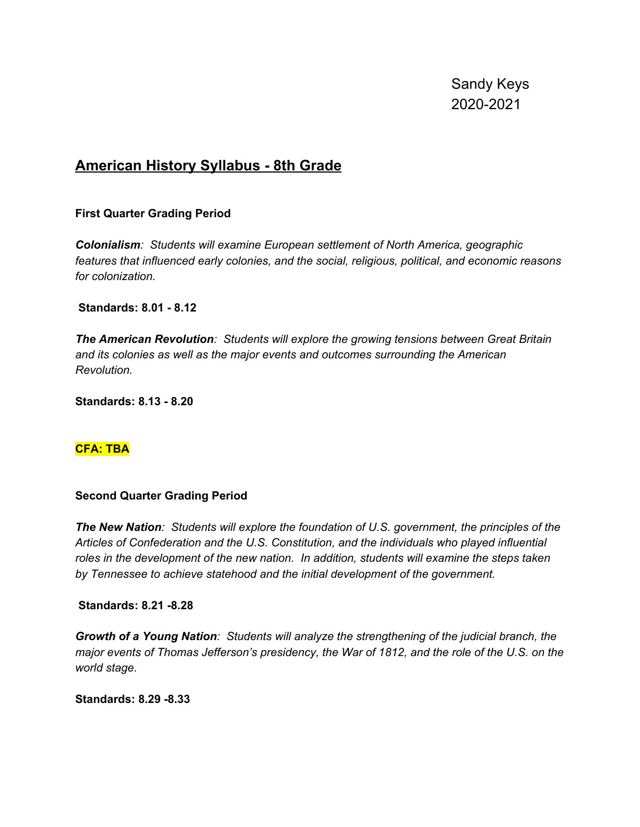Sandy Keys 2020-2021

# **American History Syllabus - 8th Grade**

### **First Quarter Grading Period**

*Colonialism: Students will examine European settlement of North America, geographic features that influenced early colonies, and the social, religious, political, and economic reasons for colonization.*

### **Standards: 8.01 - 8.12**

*The American Revolution: Students will explore the growing tensions between Great Britain and its colonies as well as the major events and outcomes surrounding the American Revolution.*

**Standards: 8.13 - 8.20**

### **CFA: TBA**

### **Second Quarter Grading Period**

*The New Nation: Students will explore the foundation of U.S. government, the principles of the Articles of Confederation and the U.S. Constitution, and the individuals who played influential roles in the development of the new nation. In addition, students will examine the steps taken by Tennessee to achieve statehood and the initial development of the government.*

### **Standards: 8.21 -8.28**

*Growth of a Young Nation: Students will analyze the strengthening of the judicial branch, the major events of Thomas Jefferson's presidency, the War of 1812, and the role of the U.S. on the world stage.*

**Standards: 8.29 -8.33**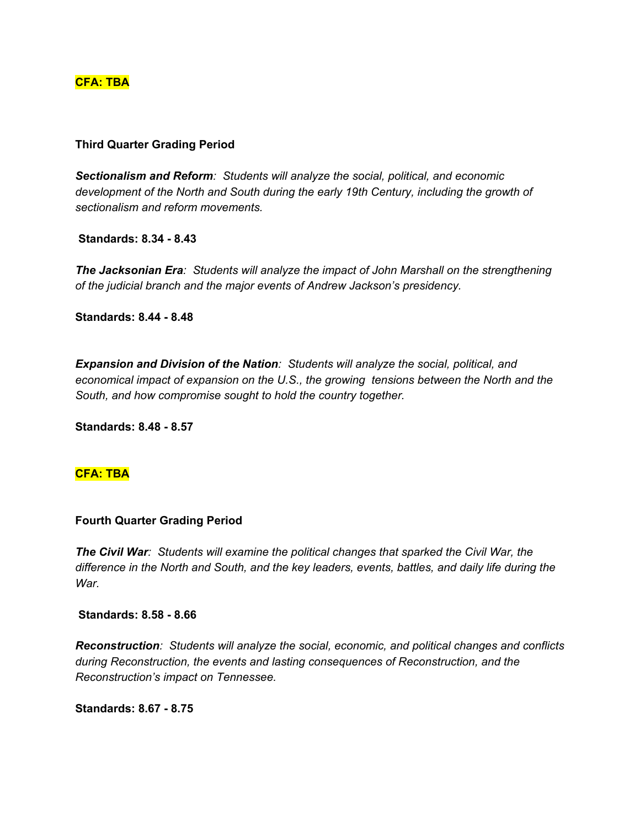### **CFA: TBA**

### **Third Quarter Grading Period**

*Sectionalism and Reform: Students will analyze the social, political, and economic development of the North and South during the early 19th Century, including the growth of sectionalism and reform movements.*

**Standards: 8.34 - 8.43**

*The Jacksonian Era: Students will analyze the impact of John Marshall on the strengthening of the judicial branch and the major events of Andrew Jackson's presidency.*

**Standards: 8.44 - 8.48**

*Expansion and Division of the Nation: Students will analyze the social, political, and economical impact of expansion on the U.S., the growing tensions between the North and the South, and how compromise sought to hold the country together.*

**Standards: 8.48 - 8.57**

### **CFA: TBA**

### **Fourth Quarter Grading Period**

*The Civil War: Students will examine the political changes that sparked the Civil War, the difference in the North and South, and the key leaders, events, battles, and daily life during the War.*

### **Standards: 8.58 - 8.66**

*Reconstruction: Students will analyze the social, economic, and political changes and conflicts during Reconstruction, the events and lasting consequences of Reconstruction, and the Reconstruction's impact on Tennessee.*

**Standards: 8.67 - 8.75**